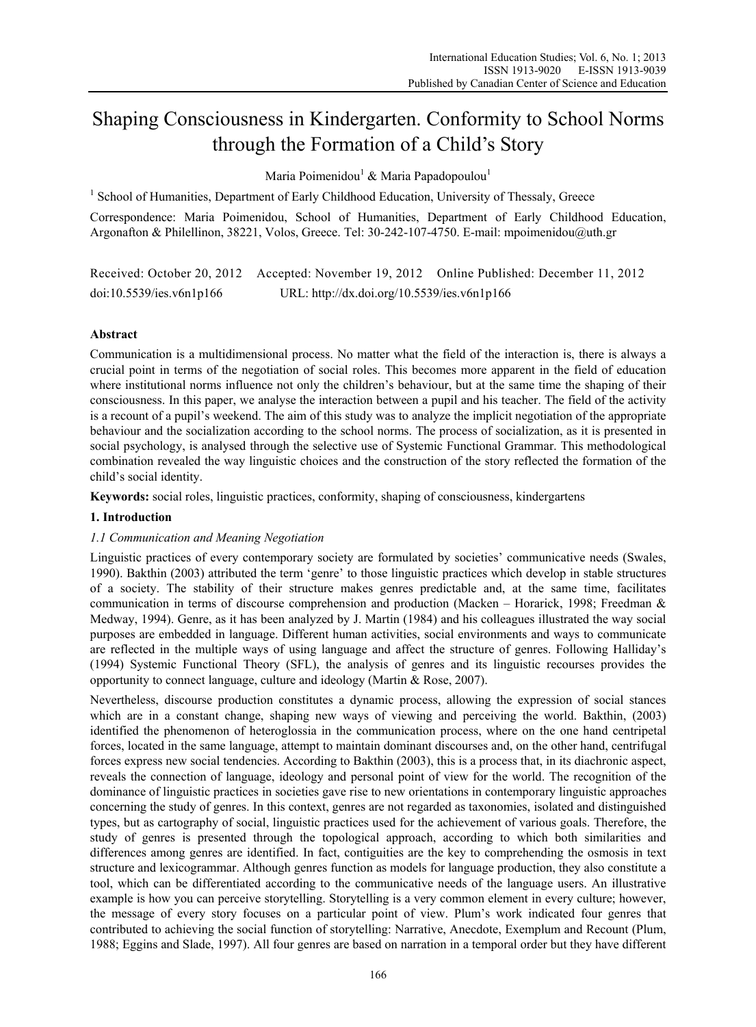# Shaping Consciousness in Kindergarten. Conformity to School Norms through the Formation of a Child's Story

Maria Poimenidou<sup>1</sup> & Maria Papadopoulou<sup>1</sup>

<sup>1</sup> School of Humanities, Department of Early Childhood Education, University of Thessaly, Greece

Correspondence: Maria Poimenidou, School of Humanities, Department of Early Childhood Education, Argonafton & Philellinon, 38221, Volos, Greece. Tel: 30-242-107-4750. E-mail: mpoimenidou@uth.gr

Received: October 20, 2012 Accepted: November 19, 2012 Online Published: December 11, 2012 doi:10.5539/ies.v6n1p166 URL: http://dx.doi.org/10.5539/ies.v6n1p166

# **Abstract**

Communication is a multidimensional process. No matter what the field of the interaction is, there is always a crucial point in terms of the negotiation of social roles. This becomes more apparent in the field of education where institutional norms influence not only the children's behaviour, but at the same time the shaping of their consciousness. In this paper, we analyse the interaction between a pupil and his teacher. The field of the activity is a recount of a pupil's weekend. The aim of this study was to analyze the implicit negotiation of the appropriate behaviour and the socialization according to the school norms. The process of socialization, as it is presented in social psychology, is analysed through the selective use of Systemic Functional Grammar. This methodological combination revealed the way linguistic choices and the construction of the story reflected the formation of the child's social identity.

**Keywords:** social roles, linguistic practices, conformity, shaping of consciousness, kindergartens

## **1. Introduction**

# *1.1 Communication and Meaning Negotiation*

Linguistic practices of every contemporary society are formulated by societies' communicative needs (Swales, 1990). Bakthin (2003) attributed the term 'genre' to those linguistic practices which develop in stable structures of a society. The stability of their structure makes genres predictable and, at the same time, facilitates communication in terms of discourse comprehension and production (Macken – Horarick, 1998; Freedman & Medway, 1994). Genre, as it has been analyzed by J. Martin (1984) and his colleagues illustrated the way social purposes are embedded in language. Different human activities, social environments and ways to communicate are reflected in the multiple ways of using language and affect the structure of genres. Following Halliday's (1994) Systemic Functional Theory (SFL), the analysis of genres and its linguistic recourses provides the opportunity to connect language, culture and ideology (Martin & Rose, 2007).

Nevertheless, discourse production constitutes a dynamic process, allowing the expression of social stances which are in a constant change, shaping new ways of viewing and perceiving the world. Bakthin, (2003) identified the phenomenon of heteroglossia in the communication process, where on the one hand centripetal forces, located in the same language, attempt to maintain dominant discourses and, on the other hand, centrifugal forces express new social tendencies. According to Bakthin (2003), this is a process that, in its diachronic aspect, reveals the connection of language, ideology and personal point of view for the world. The recognition of the dominance of linguistic practices in societies gave rise to new orientations in contemporary linguistic approaches concerning the study of genres. In this context, genres are not regarded as taxonomies, isolated and distinguished types, but as cartography of social, linguistic practices used for the achievement of various goals. Therefore, the study of genres is presented through the topological approach, according to which both similarities and differences among genres are identified. In fact, contiguities are the key to comprehending the osmosis in text structure and lexicogrammar. Although genres function as models for language production, they also constitute a tool, which can be differentiated according to the communicative needs of the language users. An illustrative example is how you can perceive storytelling. Storytelling is a very common element in every culture; however, the message of every story focuses on a particular point of view. Plum's work indicated four genres that contributed to achieving the social function of storytelling: Narrative, Anecdote, Exemplum and Recount (Plum, 1988; Eggins and Slade, 1997). All four genres are based on narration in a temporal order but they have different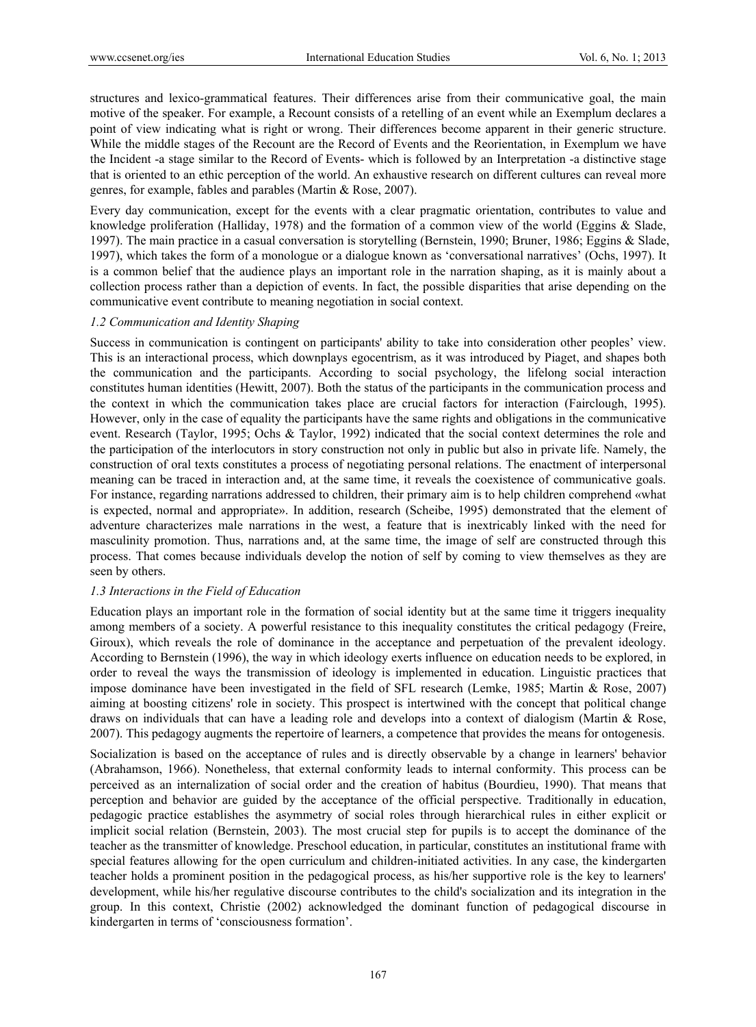structures and lexico-grammatical features. Their differences arise from their communicative goal, the main motive of the speaker. For example, a Recount consists of a retelling of an event while an Exemplum declares a point of view indicating what is right or wrong. Their differences become apparent in their generic structure. While the middle stages of the Recount are the Record of Events and the Reorientation, in Exemplum we have the Incident -a stage similar to the Record of Events- which is followed by an Interpretation -a distinctive stage that is oriented to an ethic perception of the world. An exhaustive research on different cultures can reveal more genres, for example, fables and parables (Martin & Rose, 2007).

Every day communication, except for the events with a clear pragmatic orientation, contributes to value and knowledge proliferation (Halliday, 1978) and the formation of a common view of the world (Eggins & Slade, 1997). The main practice in a casual conversation is storytelling (Bernstein, 1990; Bruner, 1986; Eggins & Slade, 1997), which takes the form of a monologue or a dialogue known as 'conversational narratives' (Ochs, 1997). It is a common belief that the audience plays an important role in the narration shaping, as it is mainly about a collection process rather than a depiction of events. In fact, the possible disparities that arise depending on the communicative event contribute to meaning negotiation in social context.

#### *1.2 Communication and Identity Shaping*

Success in communication is contingent on participants' ability to take into consideration other peoples' view. This is an interactional process, which downplays egocentrism, as it was introduced by Piaget, and shapes both the communication and the participants. According to social psychology, the lifelong social interaction constitutes human identities (Hewitt, 2007). Both the status of the participants in the communication process and the context in which the communication takes place are crucial factors for interaction (Fairclough, 1995). However, only in the case of equality the participants have the same rights and obligations in the communicative event. Research (Taylor, 1995; Ochs & Taylor, 1992) indicated that the social context determines the role and the participation of the interlocutors in story construction not only in public but also in private life. Namely, the construction of oral texts constitutes a process of negotiating personal relations. The enactment of interpersonal meaning can be traced in interaction and, at the same time, it reveals the coexistence of communicative goals. For instance, regarding narrations addressed to children, their primary aim is to help children comprehend «what is expected, normal and appropriate». In addition, research (Scheibe, 1995) demonstrated that the element of adventure characterizes male narrations in the west, a feature that is inextricably linked with the need for masculinity promotion. Thus, narrations and, at the same time, the image of self are constructed through this process. That comes because individuals develop the notion of self by coming to view themselves as they are seen by others.

#### *1.3 Interactions in the Field of Education*

Education plays an important role in the formation of social identity but at the same time it triggers inequality among members of a society. A powerful resistance to this inequality constitutes the critical pedagogy (Freire, Giroux), which reveals the role of dominance in the acceptance and perpetuation of the prevalent ideology. According to Bernstein (1996), the way in which ideology exerts influence on education needs to be explored, in order to reveal the ways the transmission of ideology is implemented in education. Linguistic practices that impose dominance have been investigated in the field of SFL research (Lemke, 1985; Martin & Rose, 2007) aiming at boosting citizens' role in society. This prospect is intertwined with the concept that political change draws on individuals that can have a leading role and develops into a context of dialogism (Martin & Rose, 2007). This pedagogy augments the repertoire of learners, a competence that provides the means for ontogenesis.

Socialization is based on the acceptance of rules and is directly observable by a change in learners' behavior (Abrahamson, 1966). Nonetheless, that external conformity leads to internal conformity. This process can be perceived as an internalization of social order and the creation of habitus (Bourdieu, 1990). That means that perception and behavior are guided by the acceptance of the official perspective. Traditionally in education, pedagogic practice establishes the asymmetry of social roles through hierarchical rules in either explicit or implicit social relation (Bernstein, 2003). The most crucial step for pupils is to accept the dominance of the teacher as the transmitter of knowledge. Preschool education, in particular, constitutes an institutional frame with special features allowing for the open curriculum and children-initiated activities. In any case, the kindergarten teacher holds a prominent position in the pedagogical process, as his/her supportive role is the key to learners' development, while his/her regulative discourse contributes to the child's socialization and its integration in the group. In this context, Christie (2002) acknowledged the dominant function of pedagogical discourse in kindergarten in terms of 'consciousness formation'.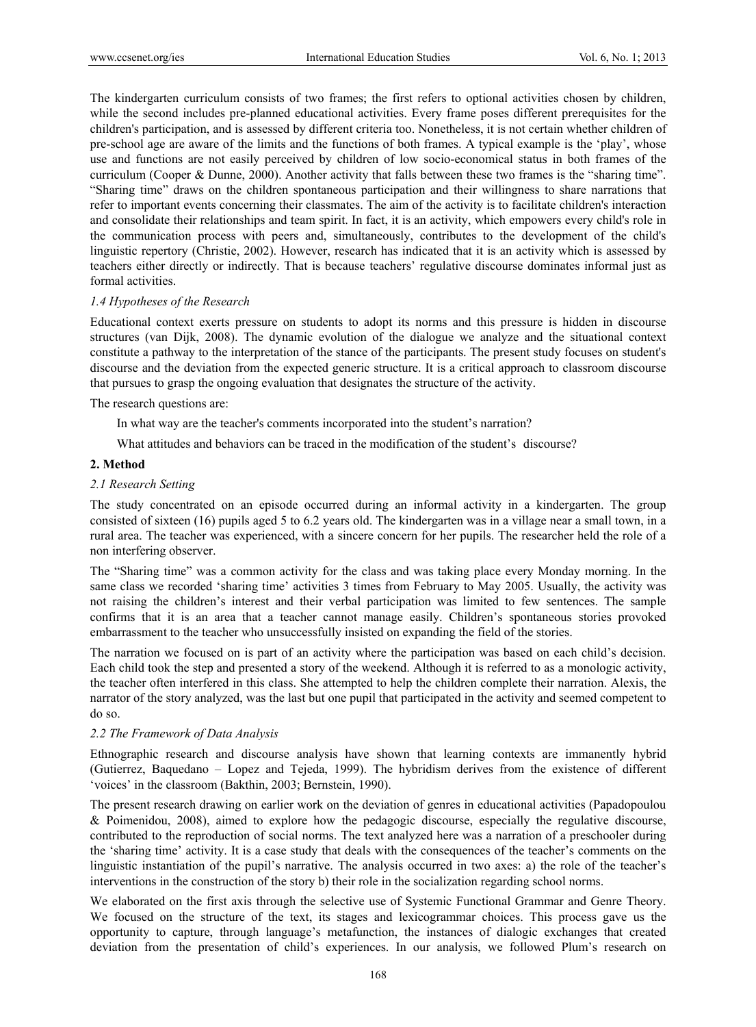The kindergarten curriculum consists of two frames; the first refers to optional activities chosen by children, while the second includes pre-planned educational activities. Every frame poses different prerequisites for the children's participation, and is assessed by different criteria too. Nonetheless, it is not certain whether children of pre-school age are aware of the limits and the functions of both frames. A typical example is the 'play', whose use and functions are not easily perceived by children of low socio-economical status in both frames of the curriculum (Cooper & Dunne, 2000). Another activity that falls between these two frames is the "sharing time". "Sharing time" draws on the children spontaneous participation and their willingness to share narrations that refer to important events concerning their classmates. The aim of the activity is to facilitate children's interaction and consolidate their relationships and team spirit. In fact, it is an activity, which empowers every child's role in the communication process with peers and, simultaneously, contributes to the development of the child's linguistic repertory (Christie, 2002). However, research has indicated that it is an activity which is assessed by teachers either directly or indirectly. That is because teachers' regulative discourse dominates informal just as formal activities.

## *1.4 Hypotheses of the Research*

Educational context exerts pressure on students to adopt its norms and this pressure is hidden in discourse structures (van Dijk, 2008). The dynamic evolution of the dialogue we analyze and the situational context constitute a pathway to the interpretation of the stance of the participants. The present study focuses on student's discourse and the deviation from the expected generic structure. It is a critical approach to classroom discourse that pursues to grasp the ongoing evaluation that designates the structure of the activity.

The research questions are:

In what way are the teacher's comments incorporated into the student's narration?

What attitudes and behaviors can be traced in the modification of the student's discourse?

## **2. Method**

#### *2.1 Research Setting*

The study concentrated on an episode occurred during an informal activity in a kindergarten. The group consisted of sixteen (16) pupils aged 5 to 6.2 years old. The kindergarten was in a village near a small town, in a rural area. The teacher was experienced, with a sincere concern for her pupils. The researcher held the role of a non interfering observer.

The "Sharing time" was a common activity for the class and was taking place every Monday morning. In the same class we recorded 'sharing time' activities 3 times from February to May 2005. Usually, the activity was not raising the children's interest and their verbal participation was limited to few sentences. The sample confirms that it is an area that a teacher cannot manage easily. Children's spontaneous stories provoked embarrassment to the teacher who unsuccessfully insisted on expanding the field of the stories.

The narration we focused on is part of an activity where the participation was based on each child's decision. Each child took the step and presented a story of the weekend. Although it is referred to as a monologic activity, the teacher often interfered in this class. She attempted to help the children complete their narration. Alexis, the narrator of the story analyzed, was the last but one pupil that participated in the activity and seemed competent to do so.

#### *2.2 The Framework of Data Analysis*

Ethnographic research and discourse analysis have shown that learning contexts are immanently hybrid (Gutierrez, Baquedano – Lopez and Tejeda, 1999). The hybridism derives from the existence of different 'voices' in the classroom (Bakthin, 2003; Bernstein, 1990).

The present research drawing on earlier work on the deviation of genres in educational activities (Papadopoulou & Poimenidou, 2008), aimed to explore how the pedagogic discourse, especially the regulative discourse, contributed to the reproduction of social norms. The text analyzed here was a narration of a preschooler during the 'sharing time' activity. It is a case study that deals with the consequences of the teacher's comments on the linguistic instantiation of the pupil's narrative. The analysis occurred in two axes: a) the role of the teacher's interventions in the construction of the story b) their role in the socialization regarding school norms.

We elaborated on the first axis through the selective use of Systemic Functional Grammar and Genre Theory. We focused on the structure of the text, its stages and lexicogrammar choices. This process gave us the opportunity to capture, through language's metafunction, the instances of dialogic exchanges that created deviation from the presentation of child's experiences. In our analysis, we followed Plum's research on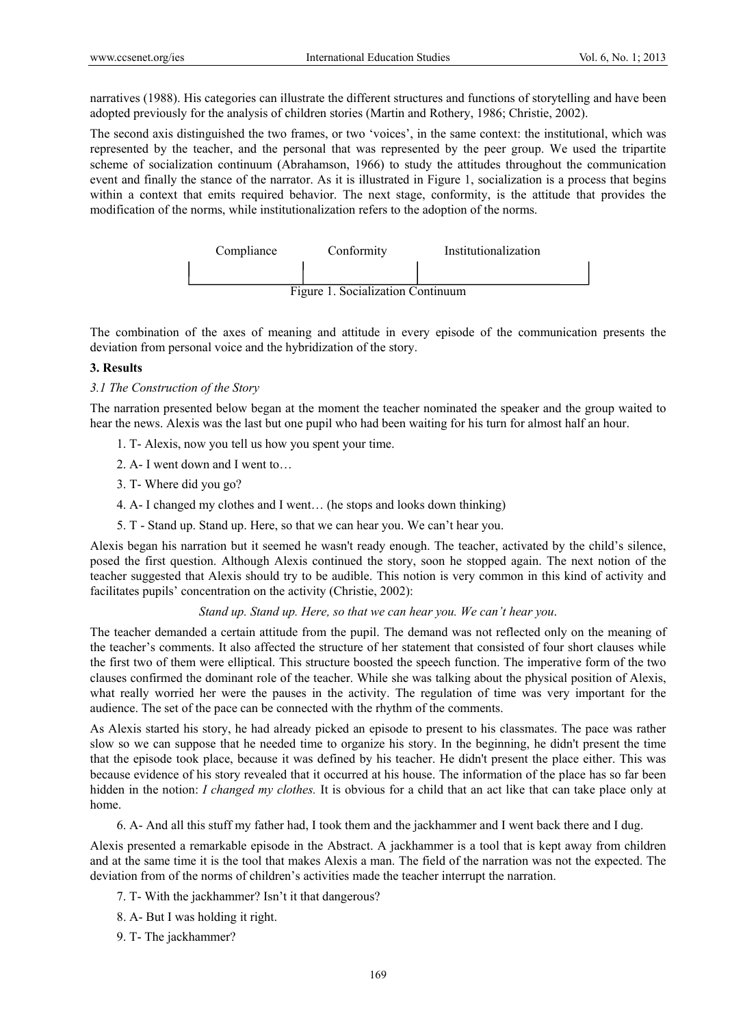narratives (1988). His categories can illustrate the different structures and functions of storytelling and have been adopted previously for the analysis of children stories (Martin and Rothery, 1986; Christie, 2002).

The second axis distinguished the two frames, or two 'voices', in the same context: the institutional, which was represented by the teacher, and the personal that was represented by the peer group. We used the tripartite scheme of socialization continuum (Abrahamson, 1966) to study the attitudes throughout the communication event and finally the stance of the narrator. As it is illustrated in Figure 1, socialization is a process that begins within a context that emits required behavior. The next stage, conformity, is the attitude that provides the modification of the norms, while institutionalization refers to the adoption of the norms.



The combination of the axes of meaning and attitude in every episode of the communication presents the deviation from personal voice and the hybridization of the story.

# **3. Results**

## *3.1 The Construction of the Story*

The narration presented below began at the moment the teacher nominated the speaker and the group waited to hear the news. Alexis was the last but one pupil who had been waiting for his turn for almost half an hour.

- 1. T- Alexis, now you tell us how you spent your time.
- 2. A- I went down and I went to…
- 3. T- Where did you go?
- 4. A- I changed my clothes and I went… (he stops and looks down thinking)
- 5. T Stand up. Stand up. Here, so that we can hear you. We can't hear you.

Alexis began his narration but it seemed he wasn't ready enough. The teacher, activated by the child's silence, posed the first question. Although Alexis continued the story, soon he stopped again. The next notion of the teacher suggested that Alexis should try to be audible. This notion is very common in this kind of activity and facilitates pupils' concentration on the activity (Christie, 2002):

#### *Stand up. Stand up. Here, so that we can hear you. We can't hear you*.

The teacher demanded a certain attitude from the pupil. The demand was not reflected only on the meaning of the teacher's comments. It also affected the structure of her statement that consisted of four short clauses while the first two of them were elliptical. This structure boosted the speech function. The imperative form of the two clauses confirmed the dominant role of the teacher. While she was talking about the physical position of Alexis, what really worried her were the pauses in the activity. The regulation of time was very important for the audience. The set of the pace can be connected with the rhythm of the comments.

As Alexis started his story, he had already picked an episode to present to his classmates. The pace was rather slow so we can suppose that he needed time to organize his story. In the beginning, he didn't present the time that the episode took place, because it was defined by his teacher. He didn't present the place either. This was because evidence of his story revealed that it occurred at his house. The information of the place has so far been hidden in the notion: *I changed my clothes*. It is obvious for a child that an act like that can take place only at home.

6. A- And all this stuff my father had, I took them and the jackhammer and I went back there and I dug.

Alexis presented a remarkable episode in the Abstract. A jackhammer is a tool that is kept away from children and at the same time it is the tool that makes Alexis a man. The field of the narration was not the expected. The deviation from of the norms of children's activities made the teacher interrupt the narration.

- 7. T- With the jackhammer? Isn't it that dangerous?
- 8. A- But I was holding it right.
- 9. T- The jackhammer?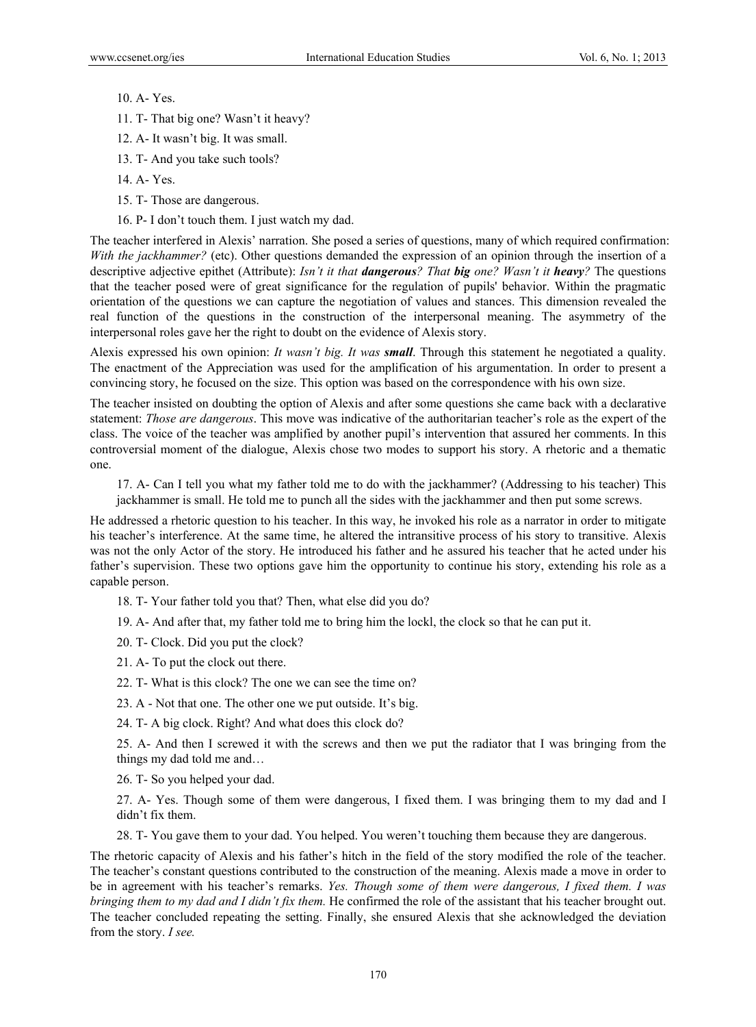10. A- Yes.

- 11. T- That big one? Wasn't it heavy?
- 12. A- It wasn't big. It was small.
- 13. T- And you take such tools?
- 14. A- Yes.
- 15. T- Those are dangerous.
- 16. P- I don't touch them. I just watch my dad.

The teacher interfered in Alexis' narration. She posed a series of questions, many of which required confirmation: *With the jackhammer?* (etc). Other questions demanded the expression of an opinion through the insertion of a descriptive adjective epithet (Attribute): *Isn't it that dangerous? That big one? Wasn't it heavy?* The questions that the teacher posed were of great significance for the regulation of pupils' behavior. Within the pragmatic orientation of the questions we can capture the negotiation of values and stances. This dimension revealed the real function of the questions in the construction of the interpersonal meaning. The asymmetry of the interpersonal roles gave her the right to doubt on the evidence of Alexis story.

Alexis expressed his own opinion: *It wasn't big. It was small*. Through this statement he negotiated a quality. The enactment of the Appreciation was used for the amplification of his argumentation. In order to present a convincing story, he focused on the size. This option was based on the correspondence with his own size.

The teacher insisted on doubting the option of Alexis and after some questions she came back with a declarative statement: *Those are dangerous*. This move was indicative of the authoritarian teacher's role as the expert of the class. The voice of the teacher was amplified by another pupil's intervention that assured her comments. In this controversial moment of the dialogue, Alexis chose two modes to support his story. A rhetoric and a thematic one.

17. A- Can I tell you what my father told me to do with the jackhammer? (Addressing to his teacher) This jackhammer is small. He told me to punch all the sides with the jackhammer and then put some screws.

He addressed a rhetoric question to his teacher. In this way, he invoked his role as a narrator in order to mitigate his teacher's interference. At the same time, he altered the intransitive process of his story to transitive. Alexis was not the only Actor of the story. He introduced his father and he assured his teacher that he acted under his father's supervision. These two options gave him the opportunity to continue his story, extending his role as a capable person.

- 18. T- Your father told you that? Then, what else did you do?
- 19. A- And after that, my father told me to bring him the lockl, the clock so that he can put it.
- 20. T- Clock. Did you put the clock?
- 21. A- To put the clock out there.
- 22. T- What is this clock? The one we can see the time on?
- 23. A Not that one. The other one we put outside. It's big.
- 24. T- A big clock. Right? And what does this clock do?

25. A- And then I screwed it with the screws and then we put the radiator that I was bringing from the things my dad told me and…

26. T- So you helped your dad.

27. A- Yes. Though some of them were dangerous, I fixed them. I was bringing them to my dad and I didn't fix them.

28. T- You gave them to your dad. You helped. You weren't touching them because they are dangerous.

The rhetoric capacity of Alexis and his father's hitch in the field of the story modified the role of the teacher. The teacher's constant questions contributed to the construction of the meaning. Alexis made a move in order to be in agreement with his teacher's remarks. *Yes. Though some of them were dangerous, I fixed them. I was bringing them to my dad and I didn't fix them.* He confirmed the role of the assistant that his teacher brought out. The teacher concluded repeating the setting. Finally, she ensured Alexis that she acknowledged the deviation from the story. *I see.*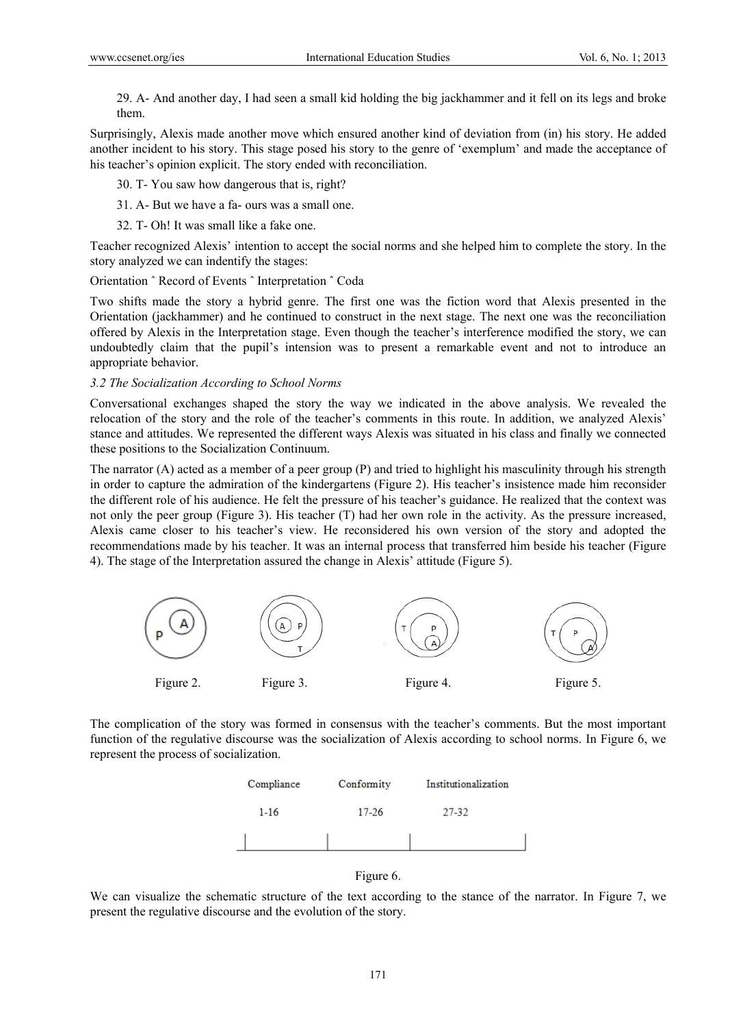29. A- And another day, I had seen a small kid holding the big jackhammer and it fell on its legs and broke them.

Surprisingly, Alexis made another move which ensured another kind of deviation from (in) his story. He added another incident to his story. This stage posed his story to the genre of 'exemplum' and made the acceptance of his teacher's opinion explicit. The story ended with reconciliation.

30. T- You saw how dangerous that is, right?

31. A- But we have a fa- ours was a small one.

32. T- Oh! It was small like a fake one.

Teacher recognized Alexis' intention to accept the social norms and she helped him to complete the story. In the story analyzed we can indentify the stages:

Orientation ˆ Record of Events ˆ Interpretation ˆ Coda

Two shifts made the story a hybrid genre. The first one was the fiction word that Alexis presented in the Orientation (jackhammer) and he continued to construct in the next stage. The next one was the reconciliation offered by Alexis in the Interpretation stage. Even though the teacher's interference modified the story, we can undoubtedly claim that the pupil's intension was to present a remarkable event and not to introduce an appropriate behavior.

*3.2 The Socialization According to School Norms* 

Conversational exchanges shaped the story the way we indicated in the above analysis. We revealed the relocation of the story and the role of the teacher's comments in this route. In addition, we analyzed Alexis' stance and attitudes. We represented the different ways Alexis was situated in his class and finally we connected these positions to the Socialization Continuum.

The narrator (A) acted as a member of a peer group (P) and tried to highlight his masculinity through his strength in order to capture the admiration of the kindergartens (Figure 2). His teacher's insistence made him reconsider the different role of his audience. He felt the pressure of his teacher's guidance. He realized that the context was not only the peer group (Figure 3). His teacher (T) had her own role in the activity. As the pressure increased, Alexis came closer to his teacher's view. He reconsidered his own version of the story and adopted the recommendations made by his teacher. It was an internal process that transferred him beside his teacher (Figure 4). The stage of the Interpretation assured the change in Alexis' attitude (Figure 5).



The complication of the story was formed in consensus with the teacher's comments. But the most important function of the regulative discourse was the socialization of Alexis according to school norms. In Figure 6, we represent the process of socialization.



Figure 6.

We can visualize the schematic structure of the text according to the stance of the narrator. In Figure 7, we present the regulative discourse and the evolution of the story.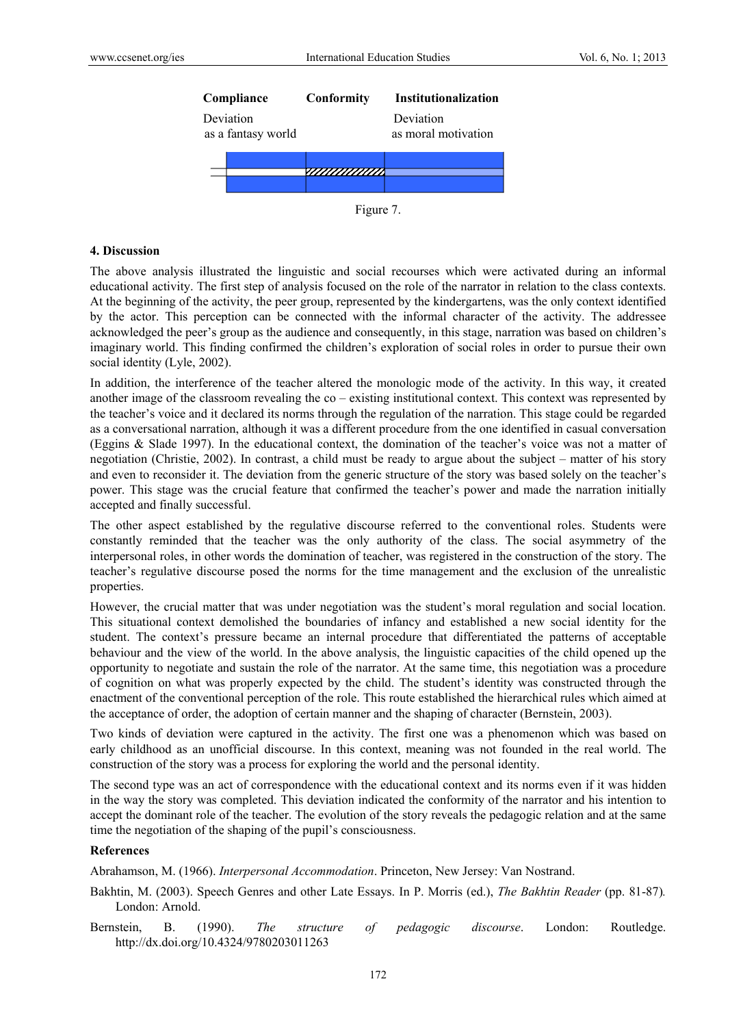

Figure 7.

#### **4. Discussion**

The above analysis illustrated the linguistic and social recourses which were activated during an informal educational activity. The first step of analysis focused on the role of the narrator in relation to the class contexts. At the beginning of the activity, the peer group, represented by the kindergartens, was the only context identified by the actor. This perception can be connected with the informal character of the activity. The addressee acknowledged the peer's group as the audience and consequently, in this stage, narration was based on children's imaginary world. This finding confirmed the children's exploration of social roles in order to pursue their own social identity (Lyle, 2002).

In addition, the interference of the teacher altered the monologic mode of the activity. In this way, it created another image of the classroom revealing the co – existing institutional context. This context was represented by the teacher's voice and it declared its norms through the regulation of the narration. This stage could be regarded as a conversational narration, although it was a different procedure from the one identified in casual conversation (Eggins & Slade 1997). In the educational context, the domination of the teacher's voice was not a matter of negotiation (Christie, 2002). In contrast, a child must be ready to argue about the subject – matter of his story and even to reconsider it. The deviation from the generic structure of the story was based solely on the teacher's power. This stage was the crucial feature that confirmed the teacher's power and made the narration initially accepted and finally successful.

The other aspect established by the regulative discourse referred to the conventional roles. Students were constantly reminded that the teacher was the only authority of the class. The social asymmetry of the interpersonal roles, in other words the domination of teacher, was registered in the construction of the story. The teacher's regulative discourse posed the norms for the time management and the exclusion of the unrealistic properties.

However, the crucial matter that was under negotiation was the student's moral regulation and social location. This situational context demolished the boundaries of infancy and established a new social identity for the student. The context's pressure became an internal procedure that differentiated the patterns of acceptable behaviour and the view of the world. In the above analysis, the linguistic capacities of the child opened up the opportunity to negotiate and sustain the role of the narrator. At the same time, this negotiation was a procedure of cognition on what was properly expected by the child. The student's identity was constructed through the enactment of the conventional perception of the role. This route established the hierarchical rules which aimed at the acceptance of order, the adoption of certain manner and the shaping of character (Bernstein, 2003).

Two kinds of deviation were captured in the activity. The first one was a phenomenon which was based on early childhood as an unofficial discourse. In this context, meaning was not founded in the real world. The construction of the story was a process for exploring the world and the personal identity.

The second type was an act of correspondence with the educational context and its norms even if it was hidden in the way the story was completed. This deviation indicated the conformity of the narrator and his intention to accept the dominant role of the teacher. The evolution of the story reveals the pedagogic relation and at the same time the negotiation of the shaping of the pupil's consciousness.

#### **References**

Abrahamson, M. (1966). *Interpersonal Accommodation*. Princeton, New Jersey: Van Nostrand.

- Bakhtin, M. (2003). Speech Genres and other Late Essays. In P. Morris (ed.), *The Bakhtin Reader* (pp. 81-87)*.*  London: Arnold.
- Bernstein, B. (1990). *The structure of pedagogic discourse*. London: Routledge. http://dx.doi.org/10.4324/9780203011263